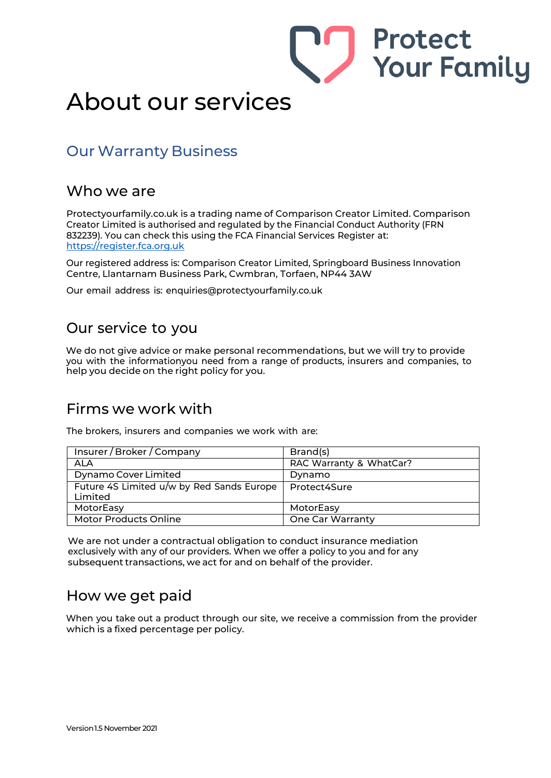

# About our services

### Our Warranty Business

#### Who we are

Protectyourfamily.co.uk is a trading name of Comparison Creator Limited. Comparison Creator Limited is authorised and regulated by the Financial Conduct Authority (FRN 832239). You can check this using the FCA Financial Services Register at: https://register.fca.org.uk

Our registered address is: Comparison Creator Limited, Springboard Business Innovation Centre, Llantarnam Business Park, Cwmbran, Torfaen, NP44 3AW

Our email address is: [enquiries@protectyourfamily.co.uk](mailto:enquiries@protectyourfamily.co.uk)

### Our service to you

We do not give advice or make personal recommendations, but we will try to provide you with the informationyou need from a range of products, insurers and companies, to help you decide on the right policy for you.

#### Firms we work with

The brokers, insurers and companies we work with are:

| Insurer / Broker / Company                           | Brand(s)                |
|------------------------------------------------------|-------------------------|
| ALA                                                  | RAC Warranty & WhatCar? |
| Dynamo Cover Limited                                 | Dynamo                  |
| Future 4S Limited u/w by Red Sands Europe<br>Limited | Protect4Sure            |
| MotorEasy                                            | MotorEasy               |
| Motor Products Online                                | <b>One Car Warranty</b> |

We are not under a contractual obligation to conduct insurance mediation exclusively with any of our providers. When we offer a policy to you and for any subsequent transactions, we act for and on behalf of the provider.

#### How we get paid

When you take out a product through our site, we receive a commission from the provider which is a fixed percentage per policy.